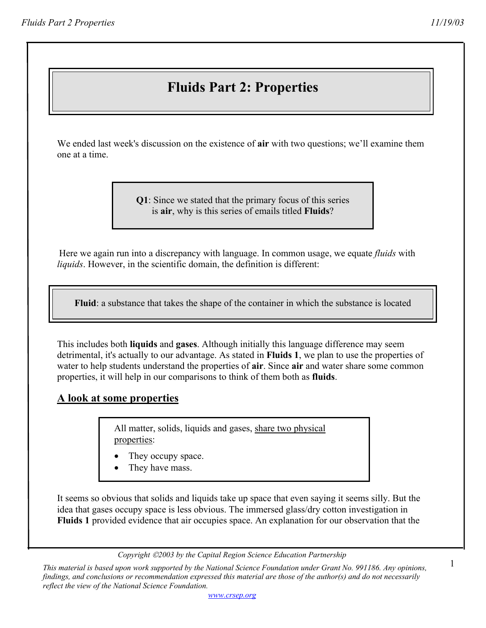# **Fluids Part 2: Properties**

We ended last week's discussion on the existence of **air** with two questions; we'll examine them one at a time.

> **Q1**: Since we stated that the primary focus of this series is **air**, why is this series of emails titled **Fluids**?

Here we again run into a discrepancy with language. In common usage, we equate *fluids* with *liquids*. However, in the scientific domain, the definition is different:

 **Fluid**: a substance that takes the shape of the container in which the substance is located

This includes both **liquids** and **gases**. Although initially this language difference may seem detrimental, it's actually to our advantage. As stated in **Fluids 1**, we plan to use the properties of water to help students understand the properties of **air**. Since **air** and water share some common properties, it will help in our comparisons to think of them both as **fluids**.

#### **A look at some properties**

All matter, solids, liquids and gases, share two physical properties:

- They occupy space.
- They have mass.

It seems so obvious that solids and liquids take up space that even saying it seems silly. But the idea that gases occupy space is less obvious. The immersed glass/dry cotton investigation in **Fluids 1** provided evidence that air occupies space. An explanation for our observation that the

*Copyright 2003 by the Capital Region Science Education Partnership* 

*This material is based upon work supported by the National Science Foundation under Grant No. 991186. Any opinions, findings, and conclusions or recommendation expressed this material are those of the author(s) and do not necessarily reflect the view of the National Science Foundation.*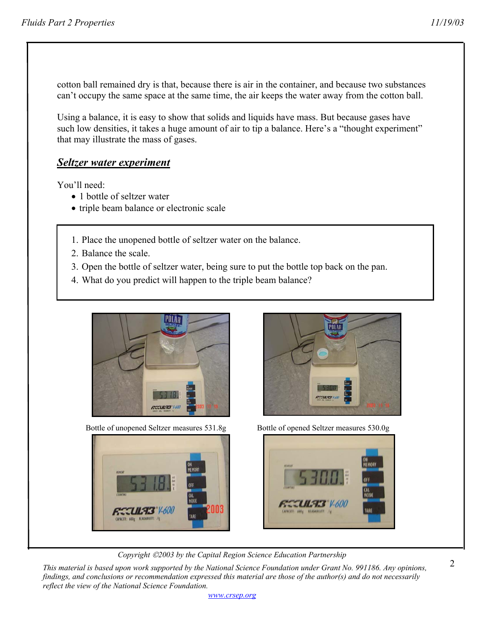cotton ball remained dry is that, because there is air in the container, and because two substances can't occupy the same space at the same time, the air keeps the water away from the cotton ball.

Using a balance, it is easy to show that solids and liquids have mass. But because gases have such low densities, it takes a huge amount of air to tip a balance. Here's a "thought experiment" that may illustrate the mass of gases.

#### *Seltzer water experiment*

You'll need:

- 1 bottle of seltzer water
- triple beam balance or electronic scale
- 1. Place the unopened bottle of seltzer water on the balance.
- 2. Balance the scale.
- 3. Open the bottle of seltzer water, being sure to put the bottle top back on the pan.
- 4. What do you predict will happen to the triple beam balance?



Bottle of unopened Seltzer measures 531.8g Bottle of opened Seltzer measures 530.0g







*Copyright 2003 by the Capital Region Science Education Partnership* 

*This material is based upon work supported by the National Science Foundation under Grant No. 991186. Any opinions, findings, and conclusions or recommendation expressed this material are those of the author(s) and do not necessarily reflect the view of the National Science Foundation.* 

*www.crsep.org*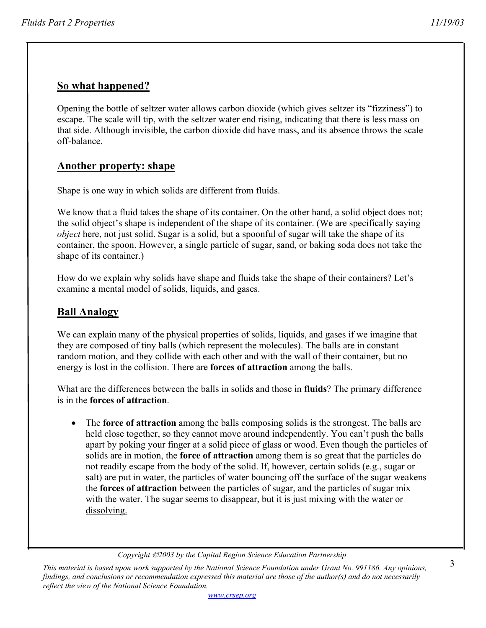## **So what happened?**

Opening the bottle of seltzer water allows carbon dioxide (which gives seltzer its "fizziness") to escape. The scale will tip, with the seltzer water end rising, indicating that there is less mass on that side. Although invisible, the carbon dioxide did have mass, and its absence throws the scale off-balance.

#### **Another property: shape**

Shape is one way in which solids are different from fluids.

We know that a fluid takes the shape of its container. On the other hand, a solid object does not; the solid object's shape is independent of the shape of its container. (We are specifically saying *object* here, not just solid. Sugar is a solid, but a spoonful of sugar will take the shape of its container, the spoon. However, a single particle of sugar, sand, or baking soda does not take the shape of its container.)

How do we explain why solids have shape and fluids take the shape of their containers? Let's examine a mental model of solids, liquids, and gases.

#### **Ball Analogy**

We can explain many of the physical properties of solids, liquids, and gases if we imagine that they are composed of tiny balls (which represent the molecules). The balls are in constant random motion, and they collide with each other and with the wall of their container, but no energy is lost in the collision. There are **forces of attraction** among the balls.

What are the differences between the balls in solids and those in **fluids**? The primary difference is in the **forces of attraction**.

• The **force of attraction** among the balls composing solids is the strongest. The balls are held close together, so they cannot move around independently. You can't push the balls apart by poking your finger at a solid piece of glass or wood. Even though the particles of solids are in motion, the **force of attraction** among them is so great that the particles do not readily escape from the body of the solid. If, however, certain solids (e.g., sugar or salt) are put in water, the particles of water bouncing off the surface of the sugar weakens the **forces of attraction** between the particles of sugar, and the particles of sugar mix with the water. The sugar seems to disappear, but it is just mixing with the water or dissolving.

*Copyright 2003 by the Capital Region Science Education Partnership* 

*This material is based upon work supported by the National Science Foundation under Grant No. 991186. Any opinions, findings, and conclusions or recommendation expressed this material are those of the author(s) and do not necessarily reflect the view of the National Science Foundation.*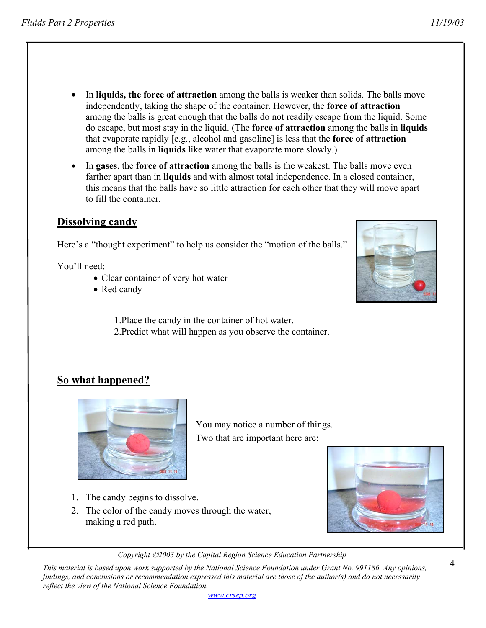- In **liquids, the force of attraction** among the balls is weaker than solids. The balls move independently, taking the shape of the container. However, the **force of attraction** among the balls is great enough that the balls do not readily escape from the liquid. Some do escape, but most stay in the liquid. (The **force of attraction** among the balls in **liquids** that evaporate rapidly [e.g., alcohol and gasoline] is less that the **force of attraction** among the balls in **liquids** like water that evaporate more slowly.)
- In **gases**, the **force of attraction** among the balls is the weakest. The balls move even farther apart than in **liquids** and with almost total independence. In a closed container, this means that the balls have so little attraction for each other that they will move apart to fill the container.

## **Dissolving candy**

Here's a "thought experiment" to help us consider the "motion of the balls."

You'll need:

- Clear container of very hot water
- Red candy

1.Place the candy in the container of hot water.

2.Predict what will happen as you observe the container.

# **So what happened?**



You may notice a number of things. Two that are important here are:

- 1. The candy begins to dissolve.
- 2. The color of the candy moves through the water, making a red path.

*Copyright 2003 by the Capital Region Science Education Partnership* 

*This material is based upon work supported by the National Science Foundation under Grant No. 991186. Any opinions, findings, and conclusions or recommendation expressed this material are those of the author(s) and do not necessarily reflect the view of the National Science Foundation.* 



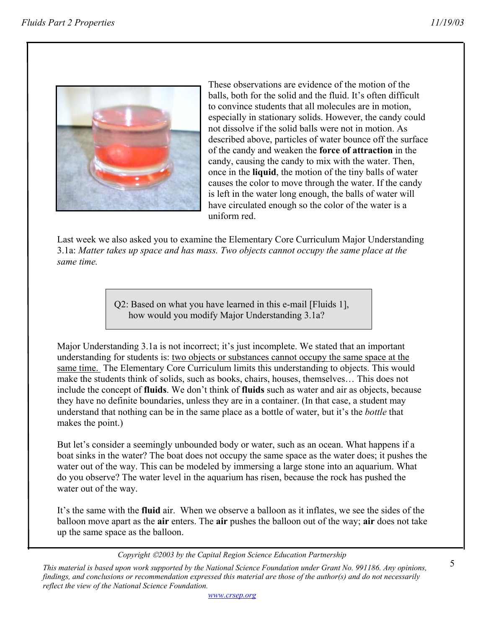

These observations are evidence of the motion of the balls, both for the solid and the fluid. It's often difficult to convince students that all molecules are in motion, especially in stationary solids. However, the candy could not dissolve if the solid balls were not in motion. As described above, particles of water bounce off the surface of the candy and weaken the **force of attraction** in the candy, causing the candy to mix with the water. Then, once in the **liquid**, the motion of the tiny balls of water causes the color to move through the water. If the candy is left in the water long enough, the balls of water will have circulated enough so the color of the water is a uniform red.

Last week we also asked you to examine the Elementary Core Curriculum Major Understanding 3.1a: *Matter takes up space and has mass. Two objects cannot occupy the same place at the same time.* 

> Q2: Based on what you have learned in this e-mail [Fluids 1], how would you modify Major Understanding 3.1a?

Major Understanding 3.1a is not incorrect; it's just incomplete. We stated that an important understanding for students is: two objects or substances cannot occupy the same space at the same time. The Elementary Core Curriculum limits this understanding to objects. This would make the students think of solids, such as books, chairs, houses, themselves… This does not include the concept of **fluids**. We don't think of **fluids** such as water and air as objects, because they have no definite boundaries, unless they are in a container. (In that case, a student may understand that nothing can be in the same place as a bottle of water, but it's the *bottle* that makes the point.)

But let's consider a seemingly unbounded body or water, such as an ocean. What happens if a boat sinks in the water? The boat does not occupy the same space as the water does; it pushes the water out of the way. This can be modeled by immersing a large stone into an aquarium. What do you observe? The water level in the aquarium has risen, because the rock has pushed the water out of the way.

It's the same with the **fluid** air. When we observe a balloon as it inflates, we see the sides of the balloon move apart as the **air** enters. The **air** pushes the balloon out of the way; **air** does not take up the same space as the balloon.

*Copyright 2003 by the Capital Region Science Education Partnership* 

*This material is based upon work supported by the National Science Foundation under Grant No. 991186. Any opinions, findings, and conclusions or recommendation expressed this material are those of the author(s) and do not necessarily reflect the view of the National Science Foundation.*